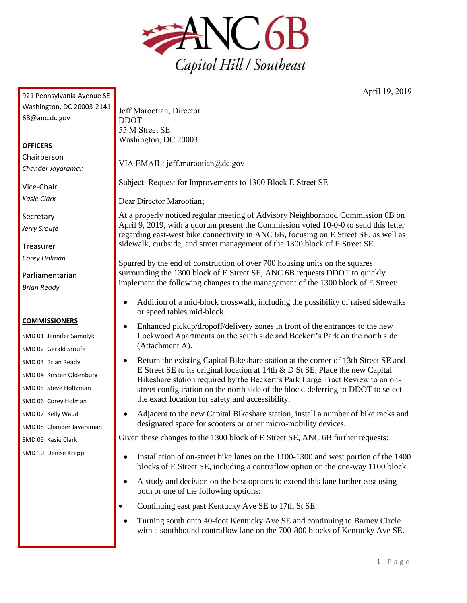

April 19, 2019

| Washington, DC 20003-2141 | Jeff Marootian, Director                                                                                                                                                                                                                                                                                                                                                                                                                                                                                                             |
|---------------------------|--------------------------------------------------------------------------------------------------------------------------------------------------------------------------------------------------------------------------------------------------------------------------------------------------------------------------------------------------------------------------------------------------------------------------------------------------------------------------------------------------------------------------------------|
|                           |                                                                                                                                                                                                                                                                                                                                                                                                                                                                                                                                      |
| 6B@anc.dc.gov             | <b>DDOT</b>                                                                                                                                                                                                                                                                                                                                                                                                                                                                                                                          |
|                           | 55 M Street SE                                                                                                                                                                                                                                                                                                                                                                                                                                                                                                                       |
| <b>OFFICERS</b>           | Washington, DC 20003                                                                                                                                                                                                                                                                                                                                                                                                                                                                                                                 |
| Chairperson               |                                                                                                                                                                                                                                                                                                                                                                                                                                                                                                                                      |
| Chander Jayaraman         | VIA EMAIL: jeff.marootian@dc.gov                                                                                                                                                                                                                                                                                                                                                                                                                                                                                                     |
| Vice-Chair                | Subject: Request for Improvements to 1300 Block E Street SE                                                                                                                                                                                                                                                                                                                                                                                                                                                                          |
| Kasie Clark               | Dear Director Marootian;                                                                                                                                                                                                                                                                                                                                                                                                                                                                                                             |
| Secretary                 | At a properly noticed regular meeting of Advisory Neighborhood Commission 6B on<br>April 9, 2019, with a quorum present the Commission voted 10-0-0 to send this letter<br>regarding east-west bike connectivity in ANC 6B, focusing on E Street SE, as well as                                                                                                                                                                                                                                                                      |
| Jerry Sroufe              |                                                                                                                                                                                                                                                                                                                                                                                                                                                                                                                                      |
| Treasurer                 | sidewalk, curbside, and street management of the 1300 block of E Street SE.                                                                                                                                                                                                                                                                                                                                                                                                                                                          |
| Corey Holman              | Spurred by the end of construction of over 700 housing units on the squares<br>surrounding the 1300 block of E Street SE, ANC 6B requests DDOT to quickly<br>implement the following changes to the management of the 1300 block of E Street:                                                                                                                                                                                                                                                                                        |
| Parliamentarian           |                                                                                                                                                                                                                                                                                                                                                                                                                                                                                                                                      |
| <b>Brian Ready</b>        |                                                                                                                                                                                                                                                                                                                                                                                                                                                                                                                                      |
|                           | Addition of a mid-block crosswalk, including the possibility of raised sidewalks<br>or speed tables mid-block.                                                                                                                                                                                                                                                                                                                                                                                                                       |
| <b>COMMISSIONERS</b>      | Enhanced pickup/dropoff/delivery zones in front of the entrances to the new<br>$\bullet$<br>Lockwood Apartments on the south side and Beckert's Park on the north side<br>(Attachment A).<br>Return the existing Capital Bikeshare station at the corner of 13th Street SE and<br>E Street SE to its original location at 14th & D St SE. Place the new Capital<br>Bikeshare station required by the Beckert's Park Large Tract Review to an on-<br>street configuration on the north side of the block, deferring to DDOT to select |
| SMD 01 Jennifer Samolyk   |                                                                                                                                                                                                                                                                                                                                                                                                                                                                                                                                      |
| SMD 02 Gerald Sroufe      |                                                                                                                                                                                                                                                                                                                                                                                                                                                                                                                                      |
| SMD 03 Brian Ready        |                                                                                                                                                                                                                                                                                                                                                                                                                                                                                                                                      |
| SMD 04 Kirsten Oldenburg  |                                                                                                                                                                                                                                                                                                                                                                                                                                                                                                                                      |
| SMD 05 Steve Holtzman     |                                                                                                                                                                                                                                                                                                                                                                                                                                                                                                                                      |
| SMD 06 Corey Holman       | the exact location for safety and accessibility.                                                                                                                                                                                                                                                                                                                                                                                                                                                                                     |
| SMD 07 Kelly Waud         | Adjacent to the new Capital Bikeshare station, install a number of bike racks and                                                                                                                                                                                                                                                                                                                                                                                                                                                    |
| SMD 08 Chander Jayaraman  | designated space for scooters or other micro-mobility devices.                                                                                                                                                                                                                                                                                                                                                                                                                                                                       |
| SMD 09 Kasie Clark        | Given these changes to the 1300 block of E Street SE, ANC 6B further requests:                                                                                                                                                                                                                                                                                                                                                                                                                                                       |
| SMD 10 Denise Krepp       | Installation of on-street bike lanes on the 1100-1300 and west portion of the 1400<br>blocks of E Street SE, including a contraflow option on the one-way 1100 block.                                                                                                                                                                                                                                                                                                                                                                |
|                           | A study and decision on the best options to extend this lane further east using<br>both or one of the following options:                                                                                                                                                                                                                                                                                                                                                                                                             |
|                           | Continuing east past Kentucky Ave SE to 17th St SE.                                                                                                                                                                                                                                                                                                                                                                                                                                                                                  |
|                           | Turning south onto 40-foot Kentucky Ave SE and continuing to Barney Circle<br>with a southbound contraflow lane on the 700-800 blocks of Kentucky Ave SE.                                                                                                                                                                                                                                                                                                                                                                            |